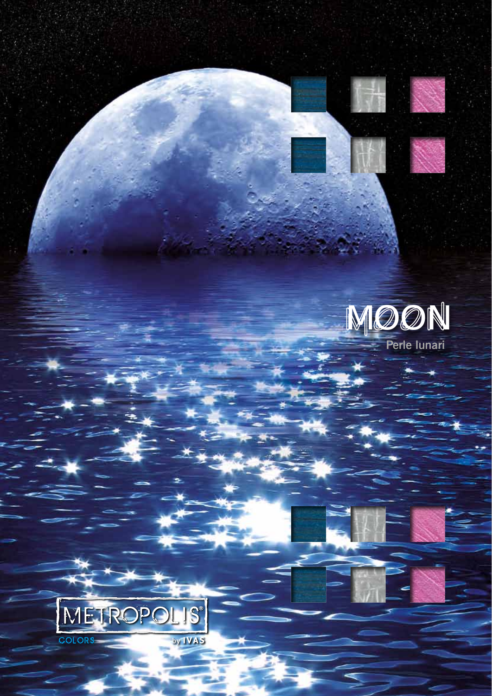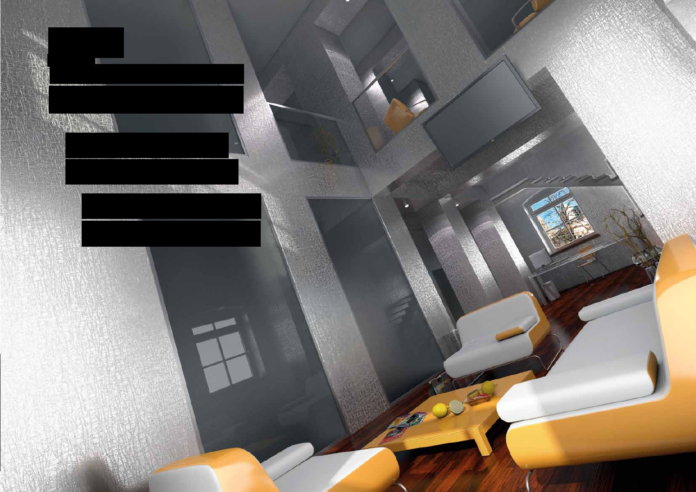**Magica luce, tempo sospeso, notte sognante: Moon** colora le pareti di perle lunari evocando il fascino, le tonalità e le suggestioni dell'astro più misterioso del cielo.

*Magic light, suspended time, dreamful night: Moon colours your walls with moon pearls evoking the charm, the shades and the emotions of the most mysterious celestial body.*

# Perle lunari

# MOON

*Mágica luz, tiempo en suspenso, noche de sueños: Moon da color a las paredes con perlas lunares, evocando la fascinaciòn, los tonos y emanaciones del astro más misterioso del cielo.*

*Lumière magique, temps suspendu, nuit rêveuse: Moon colore les murs de perles lunaires, évoquant le charme, les tonalités et les suggestions de l'astre le plus mystérieux du ciel.*

**Finitura lavabile ad effetto perlescente, semilucida, all'acqua; Per interno.**

*Water-based, washable coating, with pearlescent effect, semi- JORVÀQLVK*

*For interior use.*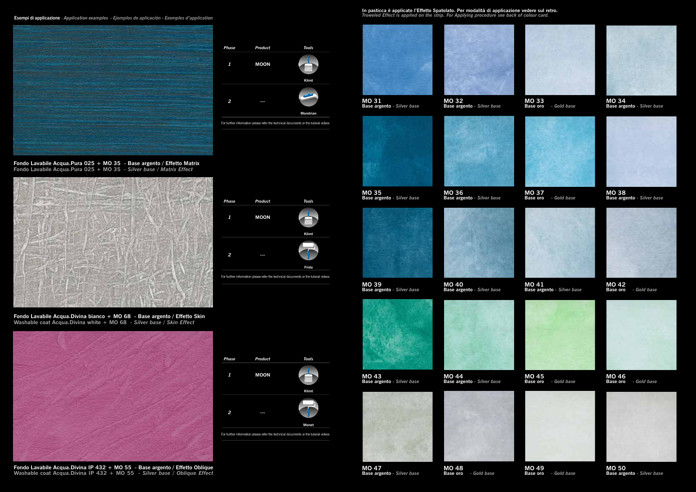**MO 31 Base argento** *- Silver base*



**MO 33** 

**Base oro** *- Gold base*

**MO 32 Base argento** *- Silver base*



**In pasticca è applicato l'Effetto Spatolato. Per modalità di applicazione vedere sul retro.** *Troweled Effect is applied on the strip. For Applying procedure see back of colour card.*



**MO 34 Base argento** *- Silver base*

**MO 35 Base argento** *- Silver base*



**MO 37 Base oro** *- Gold base*

**MO 36 Base argento** *- Silver base*





**MO 38 Base argento** *- Silver base*

**MO 39 Base argento** *- Silver base*



**MO 41 Base argento** *- Silver base*







**MO 42 Base oro** *- Gold base*

**MO 43 Base argento** *- Silver base*





**MO 45** 

**Base oro** *- Gold base*

**MO 44 Base argento** *- Silver base*





**MO 46 Base oro** *- Gold base*

**MO 47 Base argento** *- Silver base*



**Base oro** *- Gold base*



**Base oro** *- Gold base*

**MO 50 Base argento** *- Silver base*

**Esempi di applicazione** - *Application examples - Ejemplos de aplicación - Exemples d'application*



*Phase Product Tools 1* **MOON Klimt** *2 ---* **Mondrian**

For further information please refer the technical documents or the tutorial videos



**Fondo Lavabile Acqua.Pura 025 + MO 35 - Base argento / Effetto Matrix Fondo Lavabile Acqua.Pura 025 + MO 35** *- Silver base / Matrix Effect*



**Fondo Lavabile Acqua.Divina bianco + MO 68 - Base argento / Effetto Skin Washable coat Acqua.Divina white + MO 68** *- Silver base / Skin Effect*



**Fondo Lavabile Acqua.Divina IP 432 + MO 55 - Base argento / Effetto Oblique Washable coat Acqua.Divina IP 432 + MO 55** *- Silver base / Oblique Effect*



For further information please refer the technical documents or the tutorial videos

*Phase Product Tools*

*1* **MOON**

**Klimt**

*2 ---*



**Monet**

For further information please refer the technical documents or the tutorial videos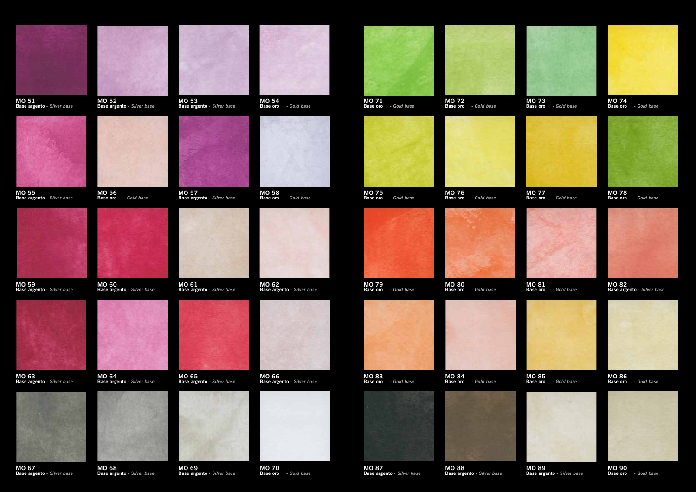

**MO 51 Base argento** *- Silver base*



**MO 53 Base argento** *- Silver base*



**MO 52 Base argento** *- Silver base*



**MO 71 Base oro** *- Gold base*





**MO 72 Base oro** *- Gold base*



**MO 74 Base oro** *- Gold base*



**MO 58 Base oro** *- Gold base*



**MO 55 Base argento** *- Silver base*



**MO 57 Base argento** *- Silver base*



**MO 56 Base oro** *- Gold base*



**MO 75 Base oro** *- Gold base*



**MO 77 Base oro** *- Gold base*



**MO 78 Base oro** *- Gold base*



**MO 59 Base argento** *- Silver base*



**MO 61 Base argento** *- Silver base*

**MO 76 Base oro** *- Gold base*



**MO 79 Base oro** *- Gold base*



**MO 60 Base argento** *- Silver base*



**MO 62 Base argento** *- Silver base*







**MO 82 Base argento** *- Silver base*



**MO 63 Base argento** *- Silver base*

**Base oro** *- Gold base*



**MO 85** 

**MO 65 Base argento** *- Silver base*



**MO 64 Base argento** *- Silver base*





**MO 66 Base argento** *- Silver base*



**MO 83 Base oro** *- Gold base*

**Base oro** *- Gold base*







**MO 86 Base oro** *- Gold base*



**MO 67 Base argento** *- Silver base*

**MO 69 Base argento** *- Silver base*

**MO 68 Base argento** *- Silver base*



**MO 70 Base oro** *- Gold base*



**MO 88 Base argento** *- Silver base*



**MO 89 Base argento** *- Silver base*